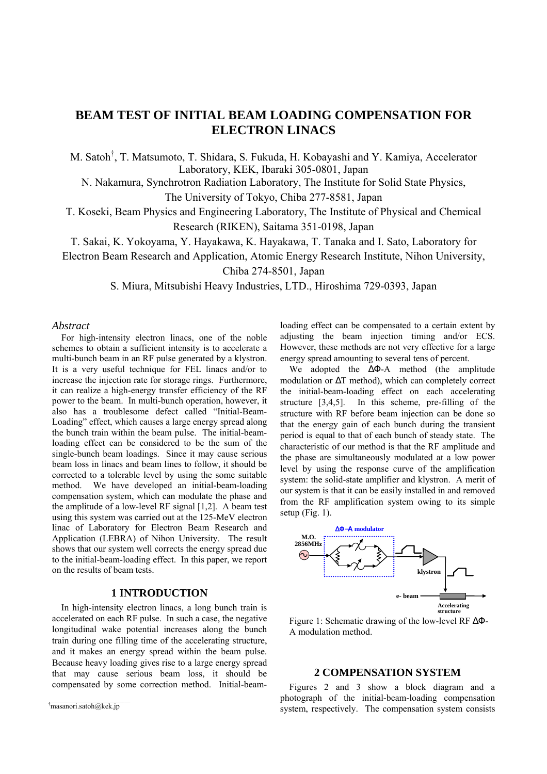# **BEAM TEST OF INITIAL BEAM LOADING COMPENSATION FOR ELECTRON LINACS**

M. Satoh† , T. Matsumoto, T. Shidara, S. Fukuda, H. Kobayashi and Y. Kamiya, Accelerator Laboratory, KEK, Ibaraki 305-0801, Japan

N. Nakamura, Synchrotron Radiation Laboratory, The Institute for Solid State Physics, The University of Tokyo, Chiba 277-8581, Japan

T. Koseki, Beam Physics and Engineering Laboratory, The Institute of Physical and Chemical Research (RIKEN), Saitama 351-0198, Japan

T. Sakai, K. Yokoyama, Y. Hayakawa, K. Hayakawa, T. Tanaka and I. Sato, Laboratory for

Electron Beam Research and Application, Atomic Energy Research Institute, Nihon University,

Chiba 274-8501, Japan

S. Miura, Mitsubishi Heavy Industries, LTD., Hiroshima 729-0393, Japan

## *Abstract*

For high-intensity electron linacs, one of the noble schemes to obtain a sufficient intensity is to accelerate a multi-bunch beam in an RF pulse generated by a klystron. It is a very useful technique for FEL linacs and/or to increase the injection rate for storage rings. Furthermore, it can realize a high-energy transfer efficiency of the RF power to the beam. In multi-bunch operation, however, it also has a troublesome defect called "Initial-Beam-Loading" effect, which causes a large energy spread along the bunch train within the beam pulse. The initial-beamloading effect can be considered to be the sum of the single-bunch beam loadings. Since it may cause serious beam loss in linacs and beam lines to follow, it should be corrected to a tolerable level by using the some suitable method. We have developed an initial-beam-loading compensation system, which can modulate the phase and the amplitude of a low-level RF signal [1,2]. A beam test using this system was carried out at the 125-MeV electron linac of Laboratory for Electron Beam Research and Application (LEBRA) of Nihon University. The result shows that our system well corrects the energy spread due to the initial-beam-loading effect. In this paper, we report on the results of beam tests.

## **1 INTRODUCTION**

In high-intensity electron linacs, a long bunch train is accelerated on each RF pulse. In such a case, the negative longitudinal wake potential increases along the bunch train during one filling time of the accelerating structure, and it makes an energy spread within the beam pulse. Because heavy loading gives rise to a large energy spread that may cause serious beam loss, it should be compensated by some correction method. Initial-beam-

 $\mathcal{L}_\mathcal{L} = \mathcal{L}_\mathcal{L} = \mathcal{L}_\mathcal{L} = \mathcal{L}_\mathcal{L} = \mathcal{L}_\mathcal{L} = \mathcal{L}_\mathcal{L} = \mathcal{L}_\mathcal{L} = \mathcal{L}_\mathcal{L} = \mathcal{L}_\mathcal{L} = \mathcal{L}_\mathcal{L} = \mathcal{L}_\mathcal{L} = \mathcal{L}_\mathcal{L} = \mathcal{L}_\mathcal{L} = \mathcal{L}_\mathcal{L} = \mathcal{L}_\mathcal{L} = \mathcal{L}_\mathcal{L} = \mathcal{L}_\mathcal{L}$ † masanori.satoh@kek.jp

loading effect can be compensated to a certain extent by adjusting the beam injection timing and/or ECS. However, these methods are not very effective for a large energy spread amounting to several tens of percent.

We adopted the ∆Φ-A method (the amplitude modulation or ∆T method), which can completely correct the initial-beam-loading effect on each accelerating structure [3,4,5]. In this scheme, pre-filling of the structure with RF before beam injection can be done so that the energy gain of each bunch during the transient period is equal to that of each bunch of steady state. The characteristic of our method is that the RF amplitude and the phase are simultaneously modulated at a low power level by using the response curve of the amplification system: the solid-state amplifier and klystron. A merit of our system is that it can be easily installed in and removed from the RF amplification system owing to its simple setup (Fig. 1).



Figure 1: Schematic drawing of the low-level RF ∆Φ-A modulation method.

# **2 COMPENSATION SYSTEM**

Figures 2 and 3 show a block diagram and a photograph of the initial-beam-loading compensation system, respectively. The compensation system consists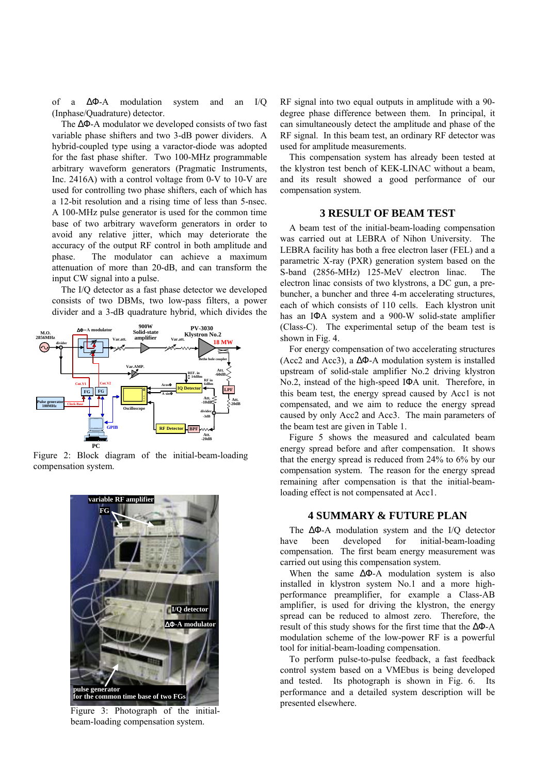of a ∆Φ-A modulation system and an I/Q (Inphase/Quadrature) detector.

The ∆Φ-A modulator we developed consists of two fast variable phase shifters and two 3-dB power dividers. A hybrid-coupled type using a varactor-diode was adopted for the fast phase shifter. Two 100-MHz programmable arbitrary waveform generators (Pragmatic Instruments, Inc. 2416A) with a control voltage from 0-V to 10-V are used for controlling two phase shifters, each of which has a 12-bit resolution and a rising time of less than 5-nsec. A 100-MHz pulse generator is used for the common time base of two arbitrary waveform generators in order to avoid any relative jitter, which may deteriorate the accuracy of the output RF control in both amplitude and phase. The modulator can achieve a maximum attenuation of more than 20-dB, and can transform the input CW signal into a pulse.

The I/Q detector as a fast phase detector we developed consists of two DBMs, two low-pass filters, a power divider and a 3-dB quadrature hybrid, which divides the



Figure 2: Block diagram of the initial-beam-loading compensation system.



Figure 3: Photograph of the initialbeam-loading compensation system.

RF signal into two equal outputs in amplitude with a 90 degree phase difference between them. In principal, it can simultaneously detect the amplitude and phase of the RF signal. In this beam test, an ordinary RF detector was used for amplitude measurements.

This compensation system has already been tested at the klystron test bench of KEK-LINAC without a beam, and its result showed a good performance of our compensation system.

### **3 RESULT OF BEAM TEST**

A beam test of the initial-beam-loading compensation was carried out at LEBRA of Nihon University. The LEBRA facility has both a free electron laser (FEL) and a parametric X-ray (PXR) generation system based on the S-band (2856-MHz) 125-MeV electron linac. The electron linac consists of two klystrons, a DC gun, a prebuncher, a buncher and three 4-m accelerating structures, each of which consists of 110 cells. Each klystron unit has an IΦA system and a 900-W solid-state amplifier (Class-C). The experimental setup of the beam test is shown in Fig. 4.

For energy compensation of two accelerating structures (Acc2 and Acc3), a ∆Φ-A modulation system is installed upstream of solid-stale amplifier No.2 driving klystron No.2, instead of the high-speed IΦA unit. Therefore, in this beam test, the energy spread caused by Acc1 is not compensated, and we aim to reduce the energy spread caused by only Acc2 and Acc3. The main parameters of the beam test are given in Table 1.

Figure 5 shows the measured and calculated beam energy spread before and after compensation. It shows that the energy spread is reduced from 24% to 6% by our compensation system. The reason for the energy spread remaining after compensation is that the initial-beamloading effect is not compensated at Acc1.

### **4 SUMMARY & FUTURE PLAN**

The ∆Φ-A modulation system and the I/Q detector have been developed for initial-beam-loading compensation. The first beam energy measurement was carried out using this compensation system.

When the same  $\Delta \Phi$ -A modulation system is also installed in klystron system No.1 and a more highperformance preamplifier, for example a Class-AB amplifier, is used for driving the klystron, the energy spread can be reduced to almost zero. Therefore, the result of this study shows for the first time that the ∆Φ-A modulation scheme of the low-power RF is a powerful tool for initial-beam-loading compensation.

To perform pulse-to-pulse feedback, a fast feedback control system based on a VMEbus is being developed and tested. Its photograph is shown in Fig. 6. Its performance and a detailed system description will be presented elsewhere.